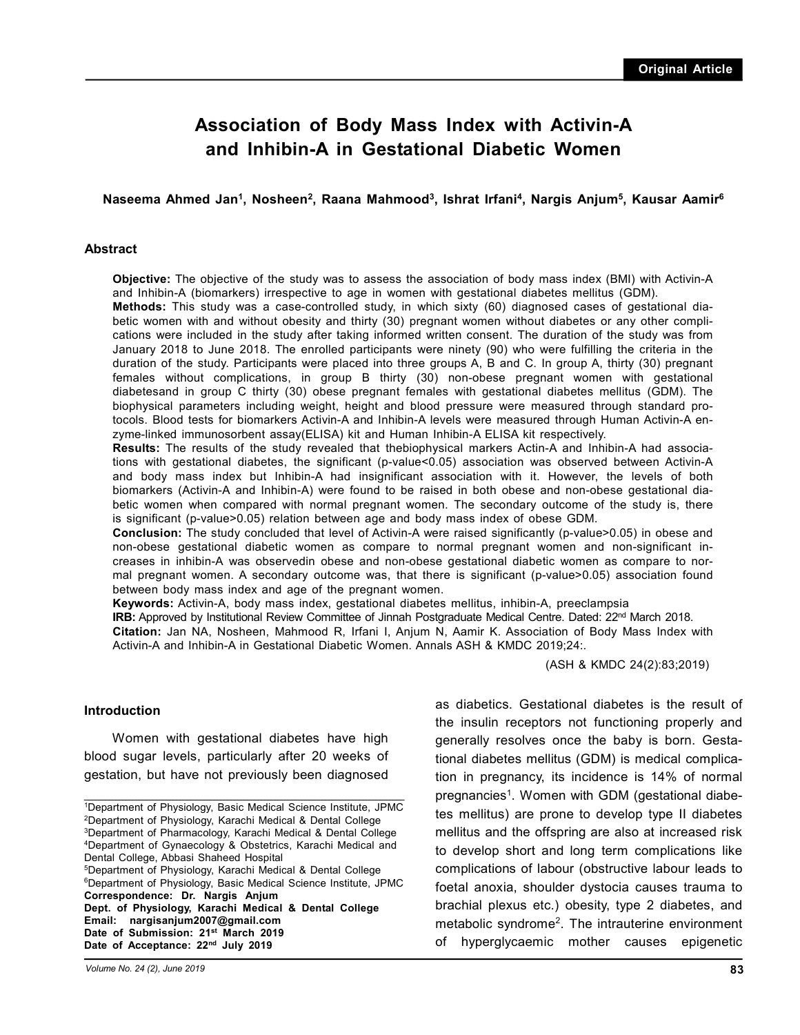# **Association of Body Mass Index with Activin-A and Inhibin-A in Gestational Diabetic Women**

### **Naseema Ahmed Jan<sup>1</sup> , Nosheen<sup>2</sup> , Raana Mahmood<sup>3</sup> , Ishrat Irfani<sup>4</sup> , Nargis Anjum<sup>5</sup> , Kausar Aamir<sup>6</sup>**

#### **Abstract**

**Objective:** The objective of the study was to assess the association of body mass index (BMI) with Activin-A and Inhibin-A (biomarkers) irrespective to age in women with gestational diabetes mellitus (GDM).

**Methods:** This study was a case-controlled study, in which sixty (60) diagnosed cases of gestational diabetic women with and without obesity and thirty (30) pregnant women without diabetes or any other complications were included in the study after taking informed written consent. The duration of the study was from January 2018 to June 2018. The enrolled participants were ninety (90) who were fulfilling the criteria in the duration of the study. Participants were placed into three groups A, B and C. In group A, thirty (30) pregnant females without complications, in group B thirty (30) non-obese pregnant women with gestational diabetesand in group C thirty (30) obese pregnant females with gestational diabetes mellitus (GDM). The biophysical parameters including weight, height and blood pressure were measured through standard protocols. Blood tests for biomarkers Activin-A and Inhibin-A levels were measured through Human Activin-A enzyme-linked immunosorbent assay(ELISA) kit and Human Inhibin-A ELISA kit respectively.

**Results:** The results of the study revealed that thebiophysical markers Actin-A and Inhibin-A had associations with gestational diabetes, the significant (p-value<0.05) association was observed between Activin-A and body mass index but Inhibin-A had insignificant association with it. However, the levels of both biomarkers (Activin-A and Inhibin-A) were found to be raised in both obese and non-obese gestational diabetic women when compared with normal pregnant women. The secondary outcome of the study is, there is significant (p-value>0.05) relation between age and body mass index of obese GDM.

**Conclusion:** The study concluded that level of Activin-A were raised significantly (p-value>0.05) in obese and non-obese gestational diabetic women as compare to normal pregnant women and non-significant increases in inhibin-A was observedin obese and non-obese gestational diabetic women as compare to normal pregnant women. A secondary outcome was, that there is significant (p-value>0.05) association found between body mass index and age of the pregnant women.

**Keywords:** Activin-A, body mass index, gestational diabetes mellitus, inhibin-A, preeclampsia

**IRB:** Approved by Institutional Review Committee of Jinnah Postgraduate Medical Centre. Dated: 22<sup>nd</sup> March 2018.

**Citation:** Jan NA, Nosheen, Mahmood R, Irfani I, Anjum N, Aamir K. Association of Body Mass Index with Activin-A and Inhibin-A in Gestational Diabetic Women. Annals ASH & KMDC 2019;24:.

(ASH & KMDC 24(2):83;2019)

#### **Introduction**

Women with gestational diabetes have high blood sugar levels, particularly after 20 weeks of gestation, but have not previously been diagnosed

\_\_\_\_\_\_\_\_\_\_\_\_\_\_\_\_\_\_\_\_\_\_\_\_\_\_\_\_\_\_\_\_\_\_\_\_\_\_\_\_\_\_\_\_\_\_\_\_\_\_\_\_\_\_\_\_\_\_\_\_\_\_\_\_\_\_\_\_\_\_\_\_\_\_\_\_\_\_\_\_\_\_\_\_\_\_\_\_\_\_\_\_\_\_

**Date of Acceptance: 22nd July 2019**

*Volume No. 24 (2), June 2019*

as diabetics. Gestational diabetes is the result of the insulin receptors not functioning properly and generally resolves once the baby is born. Gestational diabetes mellitus (GDM) is medical complication in pregnancy, its incidence is 14% of normal pregnancies<sup>1</sup>. Women with GDM (gestational diabetes mellitus) are prone to develop type II diabetes mellitus and the offspring are also at increased risk to develop short and long term complications like complications of labour (obstructive labour leads to foetal anoxia, shoulder dystocia causes trauma to brachial plexus etc.) obesity, type 2 diabetes, and metabolic syndrome<sup>2</sup>. The intrauterine environment of hyperglycaemic mother causes epigenetic

<sup>1</sup>Department of Physiology, Basic Medical Science Institute, JPMC <sup>2</sup>Department of Physiology, Karachi Medical & Dental College <sup>3</sup>Department of Pharmacology, Karachi Medical & Dental College <sup>4</sup>Department of Gynaecology & Obstetrics, Karachi Medical and Dental College, Abbasi Shaheed Hospital <sup>5</sup>Department of Physiology, Karachi Medical & Dental College <sup>6</sup>Department of Physiology, Basic Medical Science Institute, JPMC **Correspondence: Dr. Nargis Anjum Dept. of Physiology, Karachi Medical & Dental College Email: nargisanjum2007@gmail.com Date of Submission: 21st March 2019**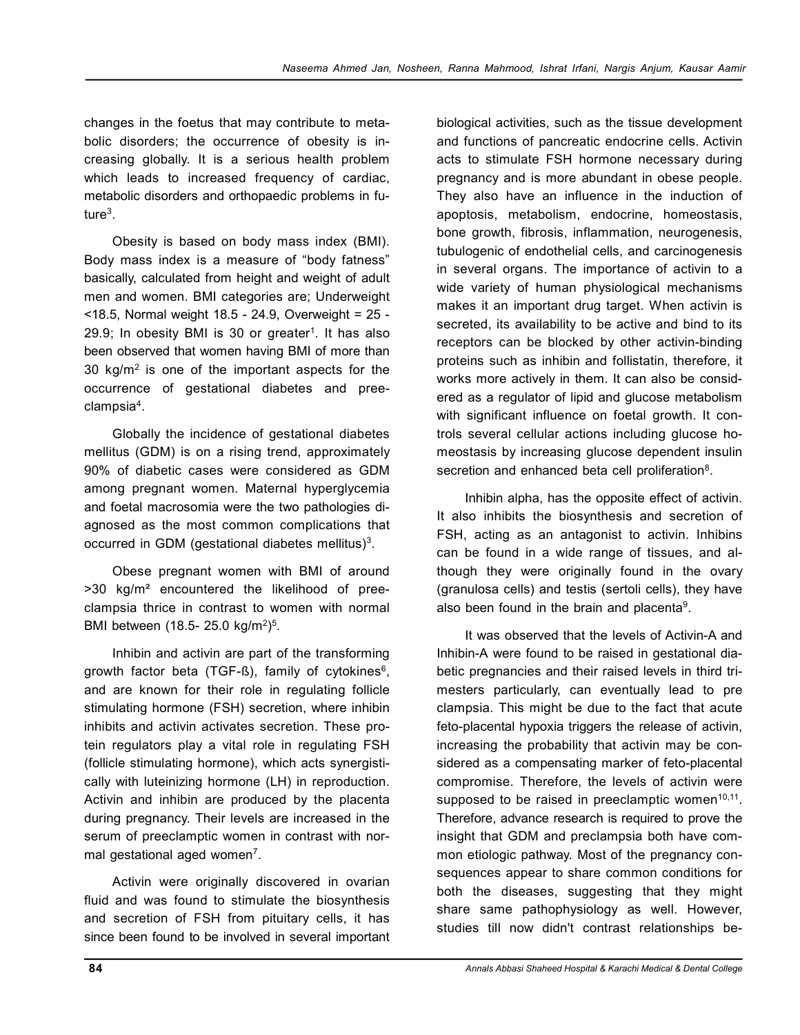changes in the foetus that may contribute to metabolic disorders; the occurrence of obesity is increasing globally. It is a serious health problem which leads to increased frequency of cardiac, metabolic disorders and orthopaedic problems in future $^3$ .

Obesity is based on body mass index (BMI). Body mass index is a measure of "body fatness" basically, calculated from height and weight of adult men and women. BMI categories are; Underweight <18.5, Normal weight 18.5 - 24.9, Overweight = 25 - 29.9; In obesity BMI is 30 or greater<sup>1</sup>. It has also been observed that women having BMI of more than 30 kg/m<sup>2</sup> is one of the important aspects for the occurrence of gestational diabetes and preeclampsia<sup>4</sup> .

Globally the incidence of gestational diabetes mellitus (GDM) is on a rising trend, approximately 90% of diabetic cases were considered as GDM among pregnant women. Maternal hyperglycemia and foetal macrosomia were the two pathologies diagnosed as the most common complications that occurred in GDM (gestational diabetes mellitus) $^3$ .

Obese pregnant women with BMI of around >30 kg/m² encountered the likelihood of preeclampsia thrice in contrast to women with normal BMI between (18.5- 25.0 kg/m<sup>2</sup>)<sup>5</sup>.

Inhibin and activin are part of the transforming growth factor beta (TGF-ß), family of cytokines<sup>6</sup>, and are known for their role in regulating follicle stimulating hormone (FSH) secretion, where inhibin inhibits and activin activates secretion. These protein regulators play a vital role in regulating FSH (follicle stimulating hormone), which acts synergistically with luteinizing hormone (LH) in reproduction. Activin and inhibin are produced by the placenta during pregnancy. Their levels are increased in the serum of preeclamptic women in contrast with normal gestational aged women<sup>7</sup>.

Activin were originally discovered in ovarian fluid and was found to stimulate the biosynthesis and secretion of FSH from pituitary cells, it has since been found to be involved in several important

biological activities, such as the tissue development and functions of pancreatic endocrine cells. Activin acts to stimulate FSH hormone necessary during pregnancy and is more abundant in obese people. They also have an influence in the induction of apoptosis, metabolism, endocrine, homeostasis, bone growth, fibrosis, inflammation, neurogenesis, tubulogenic of endothelial cells, and carcinogenesis in several organs. The importance of activin to a wide variety of human physiological mechanisms makes it an important drug target. When activin is secreted, its availability to be active and bind to its receptors can be blocked by other activin-binding proteins such as inhibin and follistatin, therefore, it works more actively in them. It can also be considered as a regulator of lipid and glucose metabolism with significant influence on foetal growth. It controls several cellular actions including glucose homeostasis by increasing glucose dependent insulin secretion and enhanced beta cell proliferation $8$ .

Inhibin alpha, has the opposite effect of activin. It also inhibits the biosynthesis and secretion of FSH, acting as an antagonist to activin. Inhibins can be found in a wide range of tissues, and although they were originally found in the ovary (granulosa cells) and testis (sertoli cells), they have also been found in the brain and placenta<sup>9</sup>.

It was observed that the levels of Activin-A and Inhibin-A were found to be raised in gestational diabetic pregnancies and their raised levels in third trimesters particularly, can eventually lead to pre clampsia. This might be due to the fact that acute feto-placental hypoxia triggers the release of activin, increasing the probability that activin may be considered as a compensating marker of feto-placental compromise. Therefore, the levels of activin were supposed to be raised in preeclamptic women $10,11$ . Therefore, advance research is required to prove the insight that GDM and preclampsia both have common etiologic pathway. Most of the pregnancy consequences appear to share common conditions for both the diseases, suggesting that they might share same pathophysiology as well. However, studies till now didn't contrast relationships be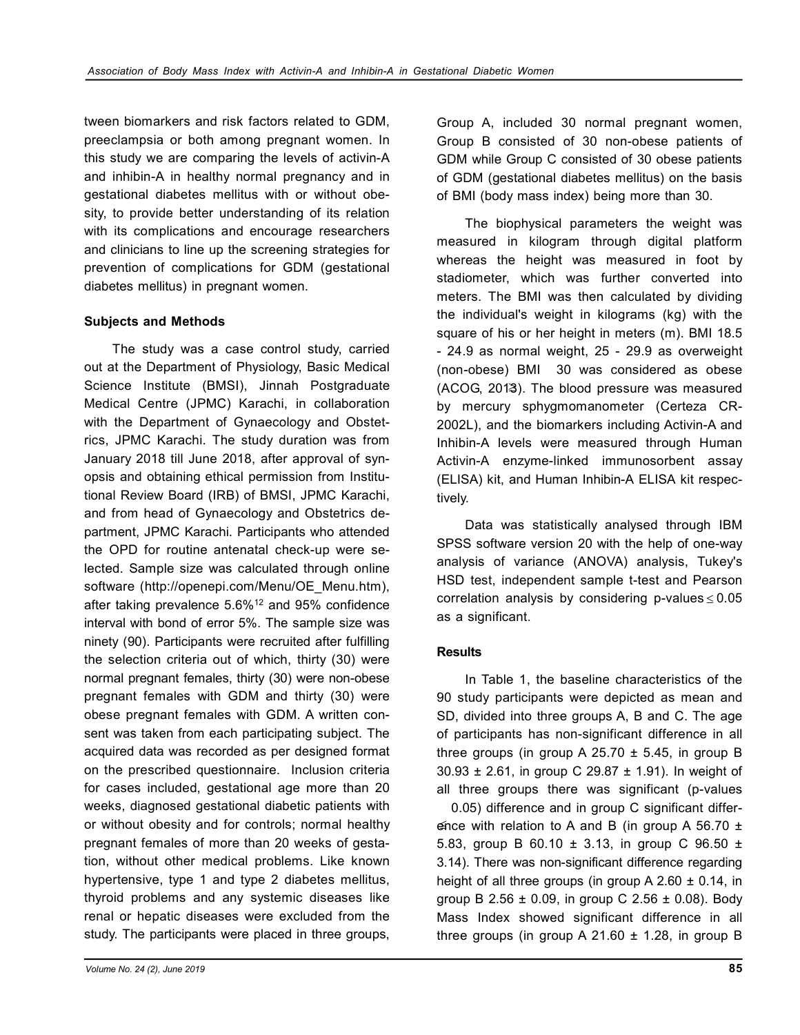tween biomarkers and risk factors related to GDM, preeclampsia or both among pregnant women. In this study we are comparing the levels of activin-A and inhibin-A in healthy normal pregnancy and in gestational diabetes mellitus with or without obesity, to provide better understanding of its relation with its complications and encourage researchers and clinicians to line up the screening strategies for prevention of complications for GDM (gestational diabetes mellitus) in pregnant women.

## **Subjects and Methods**

The study was a case control study, carried out at the Department of Physiology, Basic Medical Science Institute (BMSI), Jinnah Postgraduate Medical Centre (JPMC) Karachi, in collaboration with the Department of Gynaecology and Obstetrics, JPMC Karachi. The study duration was from January 2018 till June 2018, after approval of synopsis and obtaining ethical permission from Institutional Review Board (IRB) of BMSI, JPMC Karachi, and from head of Gynaecology and Obstetrics department, JPMC Karachi. Participants who attended the OPD for routine antenatal check-up were selected. Sample size was calculated through online software (http://openepi.com/Menu/OE\_Menu.htm), after taking prevalence 5.6%<sup>12</sup> and 95% confidence interval with bond of error 5%. The sample size was ninety (90). Participants were recruited after fulfilling the selection criteria out of which, thirty (30) were normal pregnant females, thirty (30) were non-obese pregnant females with GDM and thirty (30) were obese pregnant females with GDM. A written consent was taken from each participating subject. The acquired data was recorded as per designed format on the prescribed questionnaire. Inclusion criteria for cases included, gestational age more than 20 weeks, diagnosed gestational diabetic patients with or without obesity and for controls; normal healthy pregnant females of more than 20 weeks of gestation, without other medical problems. Like known hypertensive, type 1 and type 2 diabetes mellitus, thyroid problems and any systemic diseases like renal or hepatic diseases were excluded from the study. The participants were placed in three groups,

Group A, included 30 normal pregnant women, Group B consisted of 30 non-obese patients of GDM while Group C consisted of 30 obese patients of GDM (gestational diabetes mellitus) on the basis of BMI (body mass index) being more than 30.

The biophysical parameters the weight was measured in kilogram through digital platform whereas the height was measured in foot by stadiometer, which was further converted into meters. The BMI was then calculated by dividing the individual's weight in kilograms (kg) with the square of his or her height in meters (m). BMI 18.5 - 24.9 as normal weight, 25 - 29.9 as overweight (non-obese) BMI 30 was considered as obese (ACOG, 2013). The blood pressure was measured by mercury sphygmomanometer (Certeza CR-2002L), and the biomarkers including Activin-A and Inhibin-A levels were measured through Human Activin-A enzyme-linked immunosorbent assay (ELISA) kit, and Human Inhibin-A ELISA kit respectively.

Data was statistically analysed through IBM SPSS software version 20 with the help of one-way analysis of variance (ANOVA) analysis, Tukey's HSD test, independent sample t-test and Pearson correlation analysis by considering p-values $\leq$  0.05 as a significant.

## **Results**

In Table 1, the baseline characteristics of the 90 study participants were depicted as mean and SD, divided into three groups A, B and C. The age of participants has non-significant difference in all three groups (in group A  $25.70 \pm 5.45$ , in group B 30.93 ± 2.61, in group C 29.87 ± 1.91). In weight of all three groups there was significant (p-values

 0.05) difference and in group C significant difference with relation to A and B (in group A 56.70  $\pm$ 5.83, group B 60.10  $\pm$  3.13, in group C 96.50  $\pm$ 3.14). There was non-significant difference regarding height of all three groups (in group A 2.60  $\pm$  0.14, in group B 2.56  $\pm$  0.09, in group C 2.56  $\pm$  0.08). Body Mass Index showed significant difference in all three groups (in group A 21.60  $\pm$  1.28, in group B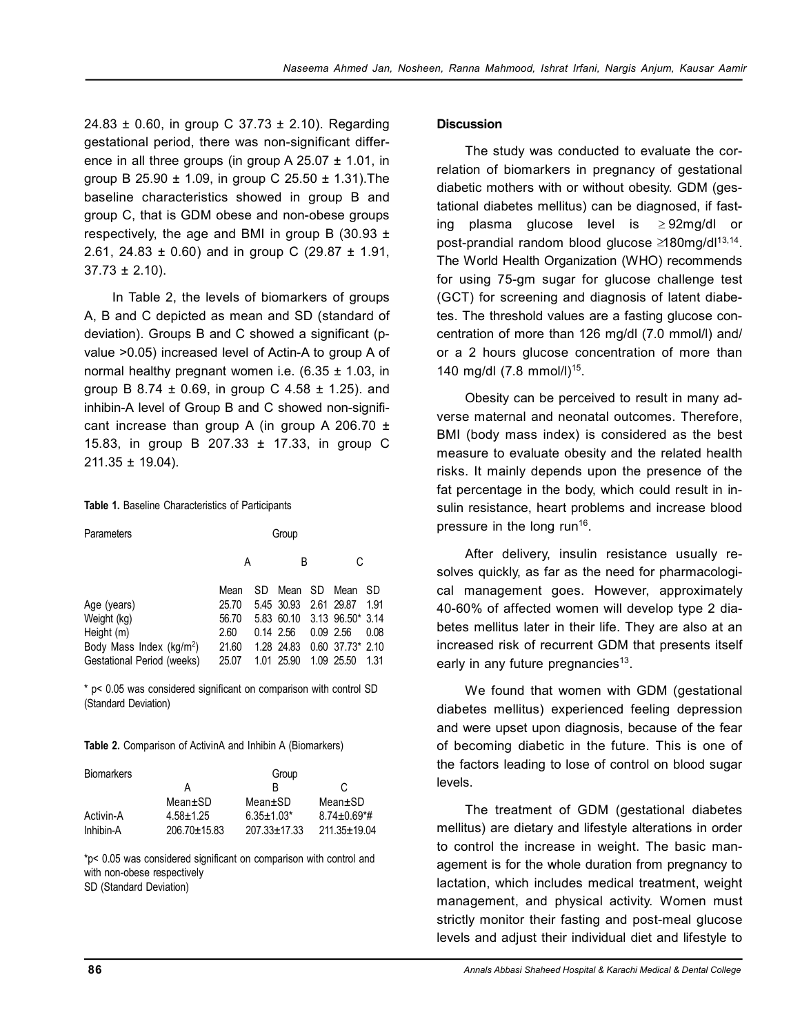24.83  $\pm$  0.60, in group C 37.73  $\pm$  2.10). Regarding gestational period, there was non-significant difference in all three groups (in group A  $25.07 \pm 1.01$ , in group B 25.90 ± 1.09, in group C 25.50 ± 1.31).The baseline characteristics showed in group B and group C, that is GDM obese and non-obese groups respectively, the age and BMI in group B  $(30.93 \pm$ 2.61, 24.83 ± 0.60) and in group C (29.87 ± 1.91,  $37.73 \pm 2.10$ ).

In Table 2, the levels of biomarkers of groups A, B and C depicted as mean and SD (standard of deviation). Groups B and C showed a significant (pvalue >0.05) increased level of Actin-A to group A of normal healthy pregnant women i.e.  $(6.35 \pm 1.03)$ , in group B 8.74  $\pm$  0.69, in group C 4.58  $\pm$  1.25). and inhibin-A level of Group B and C showed non-significant increase than group A (in group A 206.70  $\pm$ 15.83, in group B 207.33 ± 17.33, in group C 211.35 ± 19.04).

#### **Table 1.** Baseline Characteristics of Participants

| Parameters                           | Group |    |                       |  |                  |      |
|--------------------------------------|-------|----|-----------------------|--|------------------|------|
|                                      | Α     |    | B                     |  | C                |      |
|                                      | Mean  | SD | Mean SD               |  | Mean             | SD.  |
| Age (years)                          | 25.70 |    | 5.45 30.93 2.61 29.87 |  |                  | 1.91 |
| Weight (kg)                          | 56.70 |    | 5.83 60.10            |  | 3.13 96.50* 3.14 |      |
| Height (m)                           | 2.60  |    | 0.14 2.56             |  | $0.09$ 2.56      | 0.08 |
| Body Mass Index (kg/m <sup>2</sup> ) | 21.60 |    | 1.28 24.83            |  | 0.60 37.73* 2.10 |      |
| Gestational Period (weeks)           | 25.07 |    | 1.01 25.90            |  | 1.09 25.50       | 1.31 |

\* p< 0.05 was considered significant on comparison with control SD (Standard Deviation)

**Table 2.** Comparison of ActivinA and Inhibin A (Biomarkers)

| <b>Biomarkers</b> |               | Group              |                                |
|-------------------|---------------|--------------------|--------------------------------|
|                   | А             | R                  | C                              |
|                   | $Mean \pm SD$ | Mean±SD            | Mean±SD                        |
| Activin-A         | $4.58 + 1.25$ | $6.35 \pm 1.03*$   | $8.74 \pm 0.69$ <sup>*</sup> # |
| Inhibin-A         | 206.70±15.83  | $207.33 \pm 17.33$ | 211.35±19.04                   |

\*p< 0.05 was considered significant on comparison with control and with non-obese respectively

## SD (Standard Deviation)

### **Discussion**

The study was conducted to evaluate the correlation of biomarkers in pregnancy of gestational diabetic mothers with or without obesity. GDM (gestational diabetes mellitus) can be diagnosed, if fasting plasma glucose level is post-prandial random blood glucose ≥180mg/dl<sup>13,14</sup>. The World Health Organization (WHO) recommends for using 75-gm sugar for glucose challenge test (GCT) for screening and diagnosis of latent diabetes. The threshold values are a fasting glucose concentration of more than 126 mg/dl (7.0 mmol/l) and/ or a 2 hours glucose concentration of more than 140 mg/dl (7.8 mmol/l)<sup>15</sup>.  $\geq 92$ mg/dl or

Obesity can be perceived to result in many adverse maternal and neonatal outcomes. Therefore, BMI (body mass index) is considered as the best measure to evaluate obesity and the related health risks. It mainly depends upon the presence of the fat percentage in the body, which could result in insulin resistance, heart problems and increase blood pressure in the long run<sup>16</sup>.

After delivery, insulin resistance usually resolves quickly, as far as the need for pharmacological management goes. However, approximately 40-60% of affected women will develop type 2 diabetes mellitus later in their life. They are also at an increased risk of recurrent GDM that presents itself early in any future pregnancies<sup>13</sup>.

We found that women with GDM (gestational diabetes mellitus) experienced feeling depression and were upset upon diagnosis, because of the fear of becoming diabetic in the future. This is one of the factors leading to lose of control on blood sugar levels.

The treatment of GDM (gestational diabetes mellitus) are dietary and lifestyle alterations in order to control the increase in weight. The basic management is for the whole duration from pregnancy to lactation, which includes medical treatment, weight management, and physical activity. Women must strictly monitor their fasting and post-meal glucose levels and adjust their individual diet and lifestyle to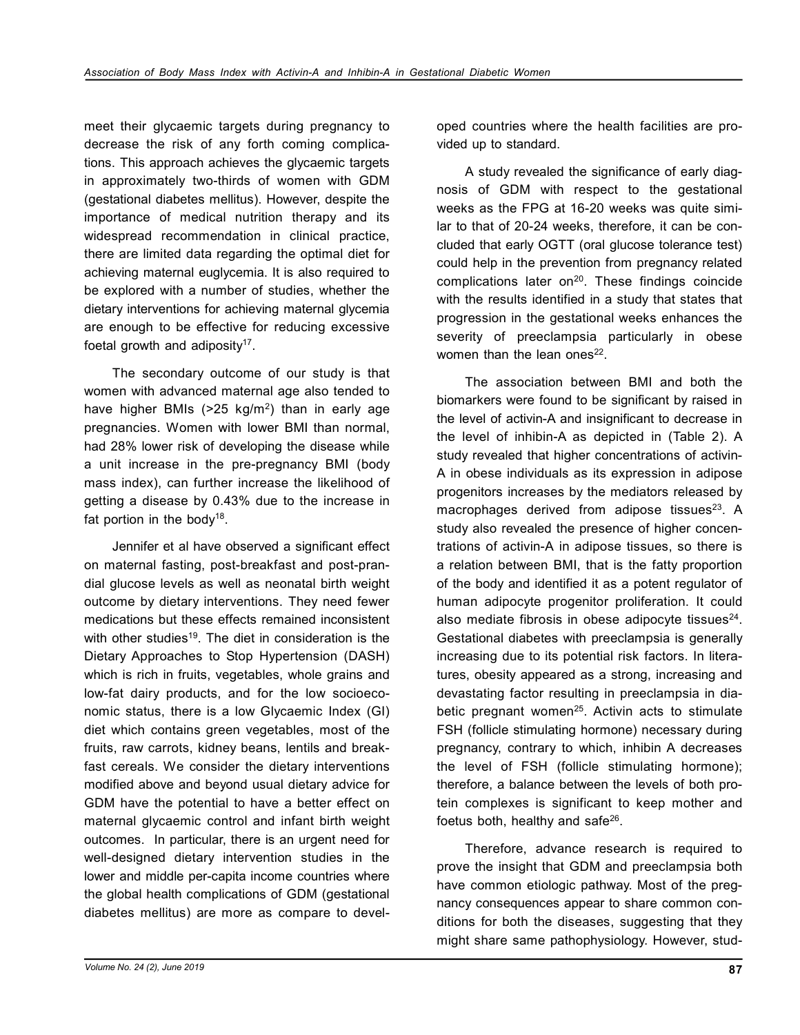meet their glycaemic targets during pregnancy to decrease the risk of any forth coming complications. This approach achieves the glycaemic targets in approximately two-thirds of women with GDM (gestational diabetes mellitus). However, despite the importance of medical nutrition therapy and its widespread recommendation in clinical practice, there are limited data regarding the optimal diet for achieving maternal euglycemia. It is also required to be explored with a number of studies, whether the dietary interventions for achieving maternal glycemia are enough to be effective for reducing excessive foetal growth and adiposity $17$ .

The secondary outcome of our study is that women with advanced maternal age also tended to have higher BMIs (>25 kg/m<sup>2</sup>) than in early age pregnancies. Women with lower BMI than normal, had 28% lower risk of developing the disease while a unit increase in the pre-pregnancy BMI (body mass index), can further increase the likelihood of getting a disease by 0.43% due to the increase in fat portion in the body<sup>18</sup>.

Jennifer et al have observed a significant effect on maternal fasting, post-breakfast and post-prandial glucose levels as well as neonatal birth weight outcome by dietary interventions. They need fewer medications but these effects remained inconsistent with other studies<sup>19</sup>. The diet in consideration is the Dietary Approaches to Stop Hypertension (DASH) which is rich in fruits, vegetables, whole grains and low-fat dairy products, and for the low socioeconomic status, there is a low Glycaemic Index (GI) diet which contains green vegetables, most of the fruits, raw carrots, kidney beans, lentils and breakfast cereals. We consider the dietary interventions modified above and beyond usual dietary advice for GDM have the potential to have a better effect on maternal glycaemic control and infant birth weight outcomes. In particular, there is an urgent need for well-designed dietary intervention studies in the lower and middle per-capita income countries where the global health complications of GDM (gestational diabetes mellitus) are more as compare to developed countries where the health facilities are provided up to standard.

A study revealed the significance of early diagnosis of GDM with respect to the gestational weeks as the FPG at 16-20 weeks was quite similar to that of 20-24 weeks, therefore, it can be concluded that early OGTT (oral glucose tolerance test) could help in the prevention from pregnancy related complications later on $20$ . These findings coincide with the results identified in a study that states that progression in the gestational weeks enhances the severity of preeclampsia particularly in obese women than the lean ones $^{22}$ .

The association between BMI and both the biomarkers were found to be significant by raised in the level of activin-A and insignificant to decrease in the level of inhibin-A as depicted in (Table 2). A study revealed that higher concentrations of activin-A in obese individuals as its expression in adipose progenitors increases by the mediators released by macrophages derived from adipose tissues $^{23}$ . A study also revealed the presence of higher concentrations of activin-A in adipose tissues, so there is a relation between BMI, that is the fatty proportion of the body and identified it as a potent regulator of human adipocyte progenitor proliferation. It could also mediate fibrosis in obese adipocyte tissues $^{24}$ . Gestational diabetes with preeclampsia is generally increasing due to its potential risk factors. In literatures, obesity appeared as a strong, increasing and devastating factor resulting in preeclampsia in diabetic pregnant women $25$ . Activin acts to stimulate FSH (follicle stimulating hormone) necessary during pregnancy, contrary to which, inhibin A decreases the level of FSH (follicle stimulating hormone); therefore, a balance between the levels of both protein complexes is significant to keep mother and foetus both, healthy and safe<sup>26</sup>.

Therefore, advance research is required to prove the insight that GDM and preeclampsia both have common etiologic pathway. Most of the pregnancy consequences appear to share common conditions for both the diseases, suggesting that they might share same pathophysiology. However, stud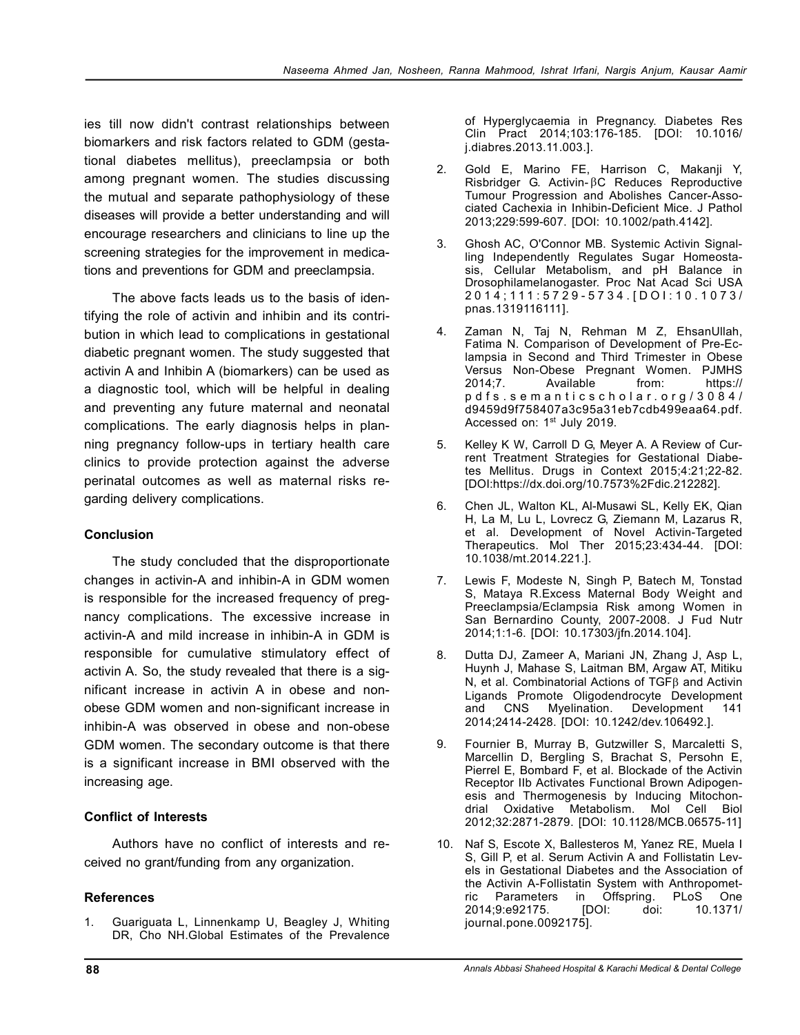ies till now didn't contrast relationships between biomarkers and risk factors related to GDM (gestational diabetes mellitus), preeclampsia or both among pregnant women. The studies discussing the mutual and separate pathophysiology of these diseases will provide a better understanding and will encourage researchers and clinicians to line up the screening strategies for the improvement in medications and preventions for GDM and preeclampsia.

The above facts leads us to the basis of identifying the role of activin and inhibin and its contribution in which lead to complications in gestational diabetic pregnant women. The study suggested that activin A and Inhibin A (biomarkers) can be used as a diagnostic tool, which will be helpful in dealing and preventing any future maternal and neonatal complications. The early diagnosis helps in planning pregnancy follow-ups in tertiary health care clinics to provide protection against the adverse perinatal outcomes as well as maternal risks regarding delivery complications.

## **Conclusion**

The study concluded that the disproportionate changes in activin-A and inhibin-A in GDM women is responsible for the increased frequency of pregnancy complications. The excessive increase in activin-A and mild increase in inhibin-A in GDM is responsible for cumulative stimulatory effect of activin A. So, the study revealed that there is a significant increase in activin A in obese and nonobese GDM women and non-significant increase in inhibin-A was observed in obese and non-obese GDM women. The secondary outcome is that there is a significant increase in BMI observed with the increasing age.

## **Conflict of Interests**

Authors have no conflict of interests and received no grant/funding from any organization.

## **References**

1. Guariguata L, Linnenkamp U, Beagley J, Whiting DR, Cho NH.Global Estimates of the Prevalence

of Hyperglycaemia in Pregnancy. Diabetes Res Clin Pract 2014;103:176-185. [DOI: 10.1016/ j.diabres.2013.11.003.].

- 2. Gold E, Marino FE, Harrison C, Makanji Y,  $R$ isbridger G. Activin- $\beta$ C Reduces Reproductive Tumour Progression and Abolishes Cancer-Associated Cachexia in Inhibin-Deficient Mice. J Pathol 2013;229:599-607. [DOI: 10.1002/path.4142].
- 3. Ghosh AC, O'Connor MB. Systemic Activin Signalling Independently Regulates Sugar Homeostasis, Cellular Metabolism, and pH Balance in Drosophilamelanogaster. Proc Nat Acad Sci USA 2 0 1 4 ; 1 1 1 : 5 7 2 9 - 5 7 3 4 . [ D O I : 1 0 . 1 0 7 3 / pnas.1319116111].
- 4. Zaman N, Taj N, Rehman M Z, EhsanUllah, Fatima N. Comparison of Development of Pre-Eclampsia in Second and Third Trimester in Obese Versus Non-Obese Pregnant Women. PJMHS<br>2014:7. Available from: https:// 2014;7. Available from: https:// p d f s . s e m a n t i c s c h o l a r . o r g / 3 0 8 4 / d9459d9f758407a3c95a31eb7cdb499eaa64.pdf. Accessed on: 1<sup>st</sup> July 2019.
- 5. Kelley K W, Carroll D G, Meyer A. A Review of Current Treatment Strategies for Gestational Diabetes Mellitus. Drugs in Context 2015;4:21;22-82. [DOI:https://dx.doi.org/10.7573%2Fdic.212282].
- 6. Chen JL, Walton KL, Al-Musawi SL, Kelly EK, Qian H, La M, Lu L, Lovrecz G, Ziemann M, Lazarus R, et al. Development of Novel Activin-Targeted Therapeutics. Mol Ther 2015;23:434-44. [DOI: 10.1038/mt.2014.221.].
- 7. Lewis F, Modeste N, Singh P, Batech M, Tonstad S, Mataya R.Excess Maternal Body Weight and Preeclampsia/Eclampsia Risk among Women in San Bernardino County, 2007-2008. J Fud Nutr 2014;1:1-6. [DOI: 10.17303/jfn.2014.104].
- 8. Dutta DJ, Zameer A, Mariani JN, Zhang J, Asp L, Huynh J, Mahase S, Laitman BM, Argaw AT, Mitiku N, et al. Combinatorial Actions of  $TGF\beta$  and Activin Ligands Promote Oligodendrocyte Development<br>and CNS Myelination. Development 141 Myelination. Development 141 2014;2414-2428. [DOI: 10.1242/dev.106492.].
- 9. Fournier B, Murray B, Gutzwiller S, Marcaletti S, Marcellin D, Bergling S, Brachat S, Persohn E, Pierrel E, Bombard F, et al. Blockade of the Activin Receptor IIb Activates Functional Brown Adipogenesis and Thermogenesis by Inducing Mitochondrial Oxidative Metabolism. Mol Cell Biol 2012;32:2871-2879. [DOI: 10.1128/MCB.06575-11]
- 10. Naf S, Escote X, Ballesteros M, Yanez RE, Muela I S, Gill P, et al. Serum Activin A and Follistatin Levels in Gestational Diabetes and the Association of the Activin A-Follistatin System with Anthropomet-<br>ric Parameters in Offspring. PLoS One in Offspring. PLoS One 2014;9:e92175. [DOI: doi: 10.1371/ journal.pone.0092175].